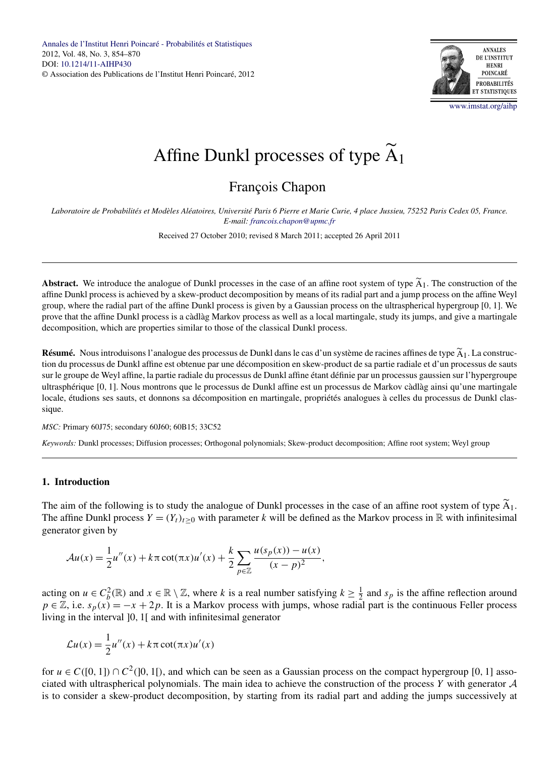

[www.imstat.org/aihp](http://www.imstat.org/aihp)

# <span id="page-0-0"></span>Affine Dunkl processes of type  $A_1$

## François Chapon

*Laboratoire de Probabilités et Modèles Aléatoires, Université Paris 6 Pierre et Marie Curie, 4 place Jussieu, 75252 Paris Cedex 05, France. E-mail: [francois.chapon@upmc.fr](mailto:francois.chapon@upmc.fr)*

Received 27 October 2010; revised 8 March 2011; accepted 26 April 2011

**Abstract.** We introduce the analogue of Dunkl processes in the case of an affine root system of type  $\overline{A}_1$ . The construction of the affine Dunkl process is achieved by a skew-product decomposition by means of its radial part and a jump process on the affine Weyl group, where the radial part of the affine Dunkl process is given by a Gaussian process on the ultraspherical hypergroup [0*,* 1]. We prove that the affine Dunkl process is a càdlàg Markov process as well as a local martingale, study its jumps, and give a martingale decomposition, which are properties similar to those of the classical Dunkl process.

**Résumé.** Nous introduisons l'analogue des processus de Dunkl dans le cas d'un système de racines affines de type  $\overline{A_1}$ . La construction du processus de Dunkl affine est obtenue par une décomposition en skew-product de sa partie radiale et d'un processus de sauts sur le groupe de Weyl affine, la partie radiale du processus de Dunkl affine étant définie par un processus gaussien sur l'hypergroupe ultrasphérique [0*,* 1]. Nous montrons que le processus de Dunkl affine est un processus de Markov càdlàg ainsi qu'une martingale locale, étudions ses sauts, et donnons sa décomposition en martingale, propriétés analogues à celles du processus de Dunkl classique.

*MSC:* Primary 60J75; secondary 60J60; 60B15; 33C52

*Keywords:* Dunkl processes; Diffusion processes; Orthogonal polynomials; Skew-product decomposition; Affine root system; Weyl group

#### **1. Introduction**

The aim of the following is to study the analogue of Dunkl processes in the case of an affine root system of type  $A_1$ . The affine Dunkl process  $Y = (Y_t)_{t>0}$  with parameter k will be defined as the Markov process in  $\mathbb R$  with infinitesimal generator given by

$$
\mathcal{A}u(x) = \frac{1}{2}u''(x) + k\pi \cot(\pi x)u'(x) + \frac{k}{2}\sum_{p\in\mathbb{Z}}\frac{u(s_p(x)) - u(x)}{(x-p)^2},
$$

acting on  $u \in C_b^2(\mathbb{R})$  and  $x \in \mathbb{R} \setminus \mathbb{Z}$ , where *k* is a real number satisfying  $k \geq \frac{1}{2}$  and  $s_p$  is the affine reflection around  $p \in \mathbb{Z}$ , i.e.  $s_p(x) = -x + 2p$ . It is a Markov process with jumps, whose radial part is the continuous Feller process living in the interval ]0*,* 1[ and with infinitesimal generator

$$
\mathcal{L}u(x) = \frac{1}{2}u''(x) + k\pi \cot(\pi x)u'(x)
$$

for  $u \in C([0, 1]) \cap C^2([0, 1])$ , and which can be seen as a Gaussian process on the compact hypergroup [0, 1] associated with ultraspherical polynomials. The main idea to achieve the construction of the process *Y* with generator A is to consider a skew-product decomposition, by starting from its radial part and adding the jumps successively at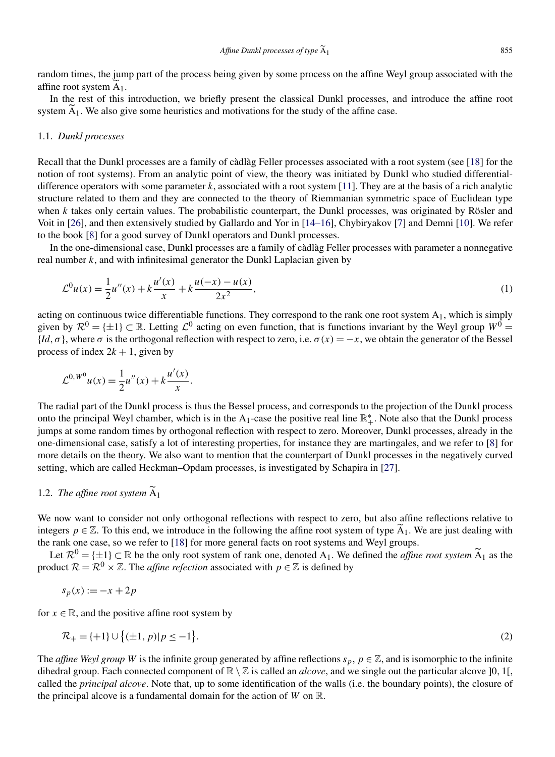<span id="page-1-0"></span>random times, the jump part of the process being given by some process on the affine Weyl group associated with the affine root system  $A_1$ .

In the rest of this introduction, we briefly present the classical Dunkl processes, and introduce the affine root system  $A_1$ . We also give some heuristics and motivations for the study of the affine case.

#### 1.1. *Dunkl processes*

Recall that the Dunkl processes are a family of càdlàg Feller processes associated with a root system (see [\[18\]](#page-15-0) for the notion of root systems). From an analytic point of view, the theory was initiated by Dunkl who studied differentialdifference operators with some parameter  $k$ , associated with a root system [\[11\]](#page-15-0). They are at the basis of a rich analytic structure related to them and they are connected to the theory of Riemmanian symmetric space of Euclidean type when *k* takes only certain values. The probabilistic counterpart, the Dunkl processes, was originated by Rösler and Voit in [\[26\]](#page-16-0), and then extensively studied by Gallardo and Yor in [\[14–16\]](#page-15-0), Chybiryakov [\[7\]](#page-15-0) and Demni [\[10\]](#page-15-0). We refer to the book [\[8\]](#page-15-0) for a good survey of Dunkl operators and Dunkl processes.

In the one-dimensional case, Dunkl processes are a family of càdlàg Feller processes with parameter a nonnegative real number *k*, and with infinitesimal generator the Dunkl Laplacian given by

$$
\mathcal{L}^{0}u(x) = \frac{1}{2}u''(x) + k\frac{u'(x)}{x} + k\frac{u(-x) - u(x)}{2x^{2}},
$$
\n(1)

acting on continuous twice differentiable functions. They correspond to the rank one root system A1, which is simply given by  $\mathcal{R}^0 = \{\pm 1\} \subset \mathbb{R}$ . Letting  $\mathcal{L}^0$  acting on even function, that is functions invariant by the Weyl group  $W^0 =$  ${Id, \sigma}$ , where  $\sigma$  is the orthogonal reflection with respect to zero, i.e.  $\sigma(x) = -x$ , we obtain the generator of the Bessel process of index  $2k + 1$ , given by

$$
\mathcal{L}^{0,W^0}u(x) = \frac{1}{2}u''(x) + k\frac{u'(x)}{x}.
$$

The radial part of the Dunkl process is thus the Bessel process, and corresponds to the projection of the Dunkl process onto the principal Weyl chamber, which is in the A<sub>1</sub>-case the positive real line  $\mathbb{R}^*_+$ . Note also that the Dunkl process jumps at some random times by orthogonal reflection with respect to zero. Moreover, Dunkl processes, already in the one-dimensional case, satisfy a lot of interesting properties, for instance they are martingales, and we refer to [\[8\]](#page-15-0) for more details on the theory. We also want to mention that the counterpart of Dunkl processes in the negatively curved setting, which are called Heckman–Opdam processes, is investigated by Schapira in [\[27\]](#page-16-0).

### 1.2. *The affine root system*  $A_1$

We now want to consider not only orthogonal reflections with respect to zero, but also affine reflections relative to integers  $p \in \mathbb{Z}$ . To this end, we introduce in the following the affine root system of type  $\widetilde{A}_1$ . We are just dealing with the rank one case, so we refer to [\[18\]](#page-15-0) for more general facts on root systems and Weyl groups.

Let  $\mathcal{R}^0 = \{\pm 1\} \subset \mathbb{R}$  be the only root system of rank one, denoted A<sub>1</sub>. We defined the *affine root system* A<sub>1</sub> as the product  $\mathcal{R} = \mathcal{R}^0 \times \mathbb{Z}$ . The *affine refection* associated with  $p \in \mathbb{Z}$  is defined by

$$
s_p(x) := -x + 2p
$$

for  $x \in \mathbb{R}$ , and the positive affine root system by

$$
\mathcal{R}_{+} = \{+1\} \cup \{(\pm 1, p)|p \leq -1\}.
$$
\n(2)

The *affine Weyl group W* is the infinite group generated by affine reflections  $s_p$ ,  $p \in \mathbb{Z}$ , and is isomorphic to the infinite dihedral group. Each connected component of  $\mathbb{R} \setminus \mathbb{Z}$  is called an *alcove*, and we single out the particular alcove [0, 1[, called the *principal alcove*. Note that, up to some identification of the walls (i.e. the boundary points), the closure of the principal alcove is a fundamental domain for the action of *W* on R.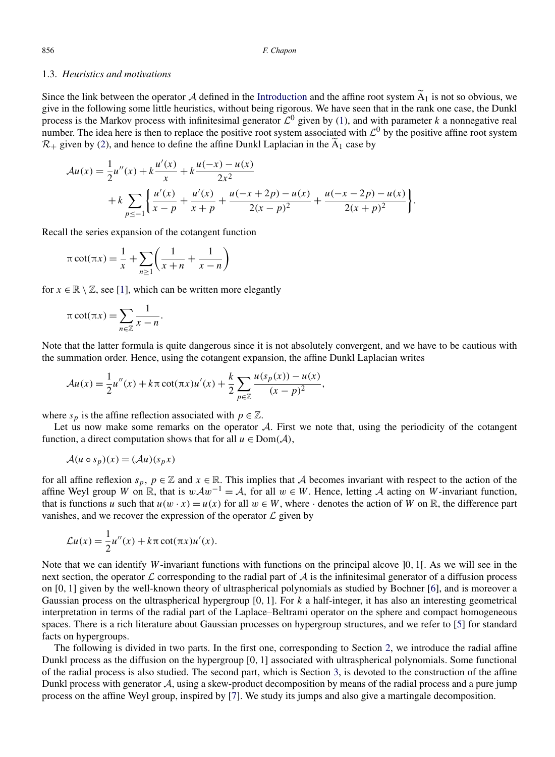#### 1.3. *Heuristics and motivations*

Since the link between the operator  $\tilde{A}$  defined in the [Introduction](#page-0-0) and the affine root system  $A_1$  is not so obvious, we give in the following some little heuristics, without being rigorous. We have seen that in the rank one case, the Dunkl process is the Markov process with infinitesimal generator  $\mathcal{L}^0$  given by [\(1\)](#page-1-0), and with parameter *k* a nonnegative real number. The idea here is then to replace the positive root system associated with  $\mathcal{L}^0$  by the positive affine root system  $\mathcal{R}_+$  given by [\(2\)](#page-1-0), and hence to define the affine Dunkl Laplacian in the  $A_1$  case by

$$
\mathcal{A}u(x) = \frac{1}{2}u''(x) + k\frac{u'(x)}{x} + k\frac{u(-x) - u(x)}{2x^2} + k\sum_{p \le -1} \left\{ \frac{u'(x)}{x - p} + \frac{u'(x)}{x + p} + \frac{u(-x + 2p) - u(x)}{2(x - p)^2} + \frac{u(-x - 2p) - u(x)}{2(x + p)^2} \right\}.
$$

Recall the series expansion of the cotangent function

$$
\pi \cot(\pi x) = \frac{1}{x} + \sum_{n \ge 1} \left( \frac{1}{x+n} + \frac{1}{x-n} \right)
$$

for  $x \in \mathbb{R} \setminus \mathbb{Z}$ , see [\[1\]](#page-15-0), which can be written more elegantly

$$
\pi \cot(\pi x) = \sum_{n \in \mathbb{Z}} \frac{1}{x - n}.
$$

Note that the latter formula is quite dangerous since it is not absolutely convergent, and we have to be cautious with the summation order. Hence, using the cotangent expansion, the affine Dunkl Laplacian writes

$$
\mathcal{A}u(x) = \frac{1}{2}u''(x) + k\pi \cot(\pi x)u'(x) + \frac{k}{2} \sum_{p \in \mathbb{Z}} \frac{u(s_p(x)) - u(x)}{(x - p)^2},
$$

where  $s_p$  is the affine reflection associated with  $p \in \mathbb{Z}$ .

Let us now make some remarks on the operator  $A$ . First we note that, using the periodicity of the cotangent function, a direct computation shows that for all  $u \in Dom(A)$ ,

$$
\mathcal{A}(u \circ s_p)(x) = (\mathcal{A}u)(s_p x)
$$

for all affine reflexion  $s_p$ ,  $p \in \mathbb{Z}$  and  $x \in \mathbb{R}$ . This implies that A becomes invariant with respect to the action of the affine Weyl group *W* on  $\mathbb{R}$ , that is  $w\mathcal{A}w^{-1} = \mathcal{A}$ , for all  $w \in W$ . Hence, letting  $\mathcal{A}$  acting on *W*-invariant function, that is functions *u* such that  $u(w \cdot x) = u(x)$  for all  $w \in W$ , where  $\cdot$  denotes the action of *W* on R, the difference part vanishes, and we recover the expression of the operator  $\mathcal L$  given by

$$
\mathcal{L}u(x) = \frac{1}{2}u''(x) + k\pi \cot(\pi x)u'(x).
$$

Note that we can identify *W*-invariant functions with functions on the principal alcove ]0*,* 1[. As we will see in the next section, the operator  $\mathcal L$  corresponding to the radial part of  $\mathcal A$  is the infinitesimal generator of a diffusion process on [0*,* 1] given by the well-known theory of ultraspherical polynomials as studied by Bochner [\[6\]](#page-15-0), and is moreover a Gaussian process on the ultraspherical hypergroup [0*,* 1]. For *k* a half-integer, it has also an interesting geometrical interpretation in terms of the radial part of the Laplace–Beltrami operator on the sphere and compact homogeneous spaces. There is a rich literature about Gaussian processes on hypergroup structures, and we refer to [\[5\]](#page-15-0) for standard facts on hypergroups.

The following is divided in two parts. In the first one, corresponding to Section [2,](#page-3-0) we introduce the radial affine Dunkl process as the diffusion on the hypergroup [0*,* 1] associated with ultraspherical polynomials. Some functional of the radial process is also studied. The second part, which is Section [3,](#page-8-0) is devoted to the construction of the affine Dunkl process with generator A, using a skew-product decomposition by means of the radial process and a pure jump process on the affine Weyl group, inspired by [\[7\]](#page-15-0). We study its jumps and also give a martingale decomposition.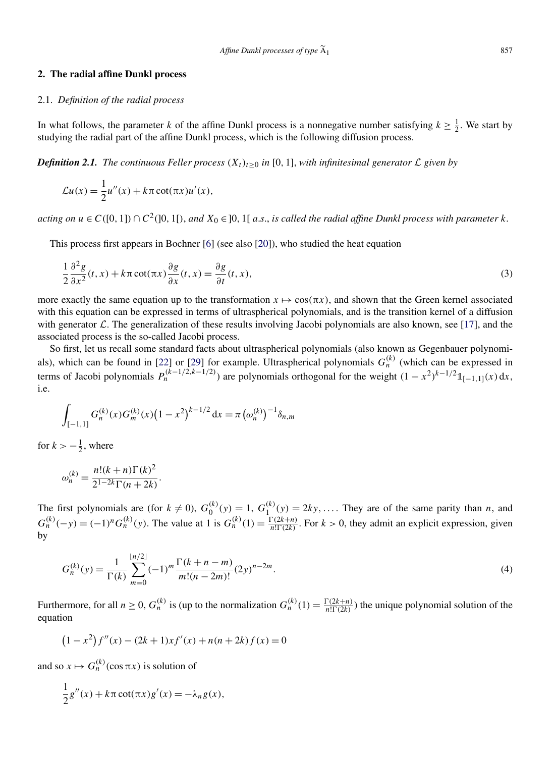#### <span id="page-3-0"></span>**2. The radial affine Dunkl process**

#### 2.1. *Definition of the radial process*

In what follows, the parameter *k* of the affine Dunkl process is a nonnegative number satisfying  $k \ge \frac{1}{2}$ . We start by studying the radial part of the affine Dunkl process, which is the following diffusion process.

*Definition 2.1. The continuous Feller process*  $(X_t)_{t\geq0}$  *in* [0, 1], *with infinitesimal generator*  $\mathcal L$  *given by* 

$$
\mathcal{L}u(x) = \frac{1}{2}u''(x) + k\pi \cot(\pi x)u'(x),
$$

acting on  $u \in C([0, 1]) \cap C^2([0, 1])$ , and  $X_0 \in ]0, 1[$  a.s., is called the radial affine Dunkl process with parameter k.

This process first appears in Bochner [\[6\]](#page-15-0) (see also [\[20\]](#page-15-0)), who studied the heat equation

$$
\frac{1}{2}\frac{\partial^2 g}{\partial x^2}(t,x) + k\pi \cot(\pi x) \frac{\partial g}{\partial x}(t,x) = \frac{\partial g}{\partial t}(t,x),\tag{3}
$$

more exactly the same equation up to the transformation  $x \mapsto \cos(\pi x)$ , and shown that the Green kernel associated with this equation can be expressed in terms of ultraspherical polynomials, and is the transition kernel of a diffusion with generator  $\mathcal L$ . The generalization of these results involving Jacobi polynomials are also known, see [\[17\]](#page-15-0), and the associated process is the so-called Jacobi process.

So first, let us recall some standard facts about ultraspherical polynomials (also known as Gegenbauer polynomi-als), which can be found in [\[22\]](#page-15-0) or [\[29\]](#page-16-0) for example. Ultraspherical polynomials  $G_n^{(k)}$  (which can be expressed in terms of Jacobi polynomials  $P_n^{(k-1/2,k-1/2)}$  are polynomials orthogonal for the weight  $(1 - x^2)^{k-1/2} \mathbb{1}_{[-1,1]}(x) dx$ , i.e.

$$
\int_{[-1,1]} G_n^{(k)}(x) G_m^{(k)}(x) (1 - x^2)^{k - 1/2} dx = \pi (\omega_n^{(k)})^{-1} \delta_{n,m}
$$

for  $k > -\frac{1}{2}$ , where

$$
\omega_n^{(k)} = \frac{n!(k+n)\Gamma(k)^2}{2^{1-2k}\Gamma(n+2k)}.
$$

The first polynomials are (for  $k \neq 0$ ),  $G_0^{(k)}(y) = 1$ ,  $G_1^{(k)}(y) = 2ky, \ldots$ . They are of the same parity than *n*, and  $G_n^{(k)}(-y) = (-1)^n G_n^{(k)}(y)$ . The value at 1 is  $G_n^{(k)}(1) = \frac{\Gamma(2k+n)}{n!\Gamma(2k)}$ . For  $k > 0$ , they admit an explicit expression, given by

$$
G_n^{(k)}(y) = \frac{1}{\Gamma(k)} \sum_{m=0}^{\lfloor n/2 \rfloor} (-1)^m \frac{\Gamma(k+n-m)}{m!(n-2m)!} (2y)^{n-2m}.
$$
 (4)

Furthermore, for all  $n \ge 0$ ,  $G_n^{(k)}$  is (up to the normalization  $G_n^{(k)}(1) = \frac{\Gamma(2k+n)}{n!\Gamma(2k)}$ ) the unique polynomial solution of the equation

$$
(1 - x2) f''(x) - (2k + 1)xf'(x) + n(n + 2k) f(x) = 0
$$

and so  $x \mapsto G_n^{(k)}(\cos \pi x)$  is solution of

$$
\frac{1}{2}g''(x) + k\pi \cot(\pi x)g'(x) = -\lambda_n g(x),
$$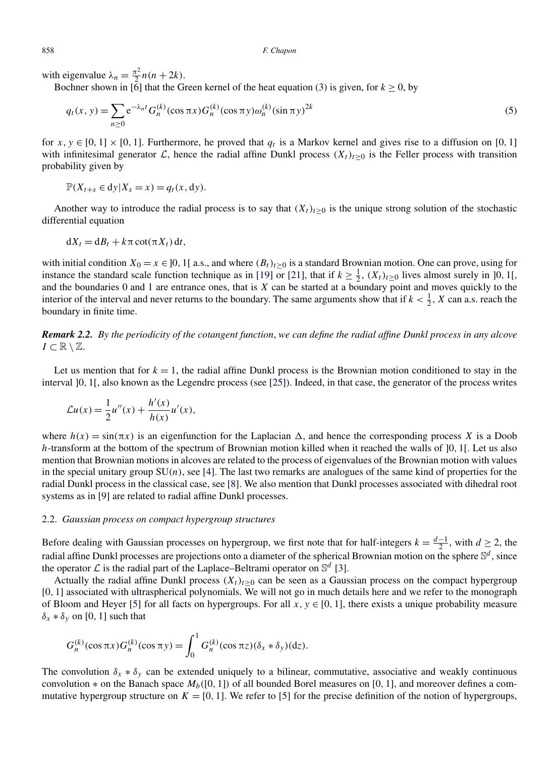with eigenvalue  $\lambda_n = \frac{\pi^2}{2} n(n+2k)$ .

Bochner shown in [\[6\]](#page-15-0) that the Green kernel of the heat equation [\(3\)](#page-3-0) is given, for  $k \ge 0$ , by

$$
q_t(x, y) = \sum_{n \ge 0} e^{-\lambda_n t} G_n^{(k)}(\cos \pi x) G_n^{(k)}(\cos \pi y) \omega_n^{(k)}(\sin \pi y)^{2k}
$$
 (5)

for  $x, y \in [0, 1] \times [0, 1]$ . Furthermore, he proved that  $q_t$  is a Markov kernel and gives rise to a diffusion on [0, 1] with infinitesimal generator  $\mathcal{L}$ , hence the radial affine Dunkl process  $(X_t)_{t>0}$  is the Feller process with transition probability given by

$$
\mathbb{P}(X_{t+s} \in dy | X_s = x) = q_t(x, dy).
$$

Another way to introduce the radial process is to say that  $(X_t)_{t>0}$  is the unique strong solution of the stochastic differential equation

$$
dX_t = dB_t + k\pi \cot(\pi X_t) dt,
$$

with initial condition  $X_0 = x \in ]0, 1[$  a.s., and where  $(B_t)_{t>0}$  is a standard Brownian motion. One can prove, using for instance the standard scale function technique as in [\[19\]](#page-15-0) or [\[21\]](#page-15-0), that if  $k \ge \frac{1}{2}$ ,  $(X_t)_{t \ge 0}$  lives almost surely in ]0, 1[, and the boundaries 0 and 1 are entrance ones, that is *X* can be started at a boundary point and moves quickly to the interior of the interval and never returns to the boundary. The same arguments show that if  $k < \frac{1}{2}$ , X can a.s. reach the boundary in finite time.

*Remark 2.2. By the periodicity of the cotangent function*, *we can define the radial affine Dunkl process in any alcove*  $I \subset \mathbb{R} \setminus \mathbb{Z}$ .

Let us mention that for  $k = 1$ , the radial affine Dunkl process is the Brownian motion conditioned to stay in the interval ]0*,* 1[, also known as the Legendre process (see [\[25\]](#page-16-0)). Indeed, in that case, the generator of the process writes

$$
\mathcal{L}u(x) = \frac{1}{2}u''(x) + \frac{h'(x)}{h(x)}u'(x),
$$

where  $h(x) = \sin(\pi x)$  is an eigenfunction for the Laplacian  $\Delta$ , and hence the corresponding process *X* is a Doob *h*-transform at the bottom of the spectrum of Brownian motion killed when it reached the walls of ]0*,* 1[. Let us also mention that Brownian motions in alcoves are related to the process of eigenvalues of the Brownian motion with values in the special unitary group  $SU(n)$ , see [\[4\]](#page-15-0). The last two remarks are analogues of the same kind of properties for the radial Dunkl process in the classical case, see [\[8\]](#page-15-0). We also mention that Dunkl processes associated with dihedral root systems as in [\[9\]](#page-15-0) are related to radial affine Dunkl processes.

#### 2.2. *Gaussian process on compact hypergroup structures*

Before dealing with Gaussian processes on hypergroup, we first note that for half-integers  $k = \frac{d-1}{2}$ , with  $d \ge 2$ , the radial affine Dunkl processes are projections onto a diameter of the spherical Brownian motion on the sphere S*<sup>d</sup>* , since the operator  $\mathcal L$  is the radial part of the Laplace–Beltrami operator on  $\mathbb S^d$  [\[3\]](#page-15-0).

Actually the radial affine Dunkl process  $(X_t)_{t\geq0}$  can be seen as a Gaussian process on the compact hypergroup [0*,* 1] associated with ultraspherical polynomials. We will not go in much details here and we refer to the monograph of Bloom and Heyer [\[5\]](#page-15-0) for all facts on hypergroups. For all  $x, y \in [0, 1]$ , there exists a unique probability measure  $\delta_x * \delta_y$  on [0, 1] such that

$$
G_n^{(k)}(\cos \pi x)G_n^{(k)}(\cos \pi y) = \int_0^1 G_n^{(k)}(\cos \pi z)(\delta_x * \delta_y)(dz).
$$

The convolution  $\delta_x * \delta_y$  can be extended uniquely to a bilinear, commutative, associative and weakly continuous convolution  $*$  on the Banach space  $M_b([0, 1])$  of all bounded Borel measures on [0, 1], and moreover defines a commutative hypergroup structure on  $K = [0, 1]$ . We refer to [\[5\]](#page-15-0) for the precise definition of the notion of hypergroups,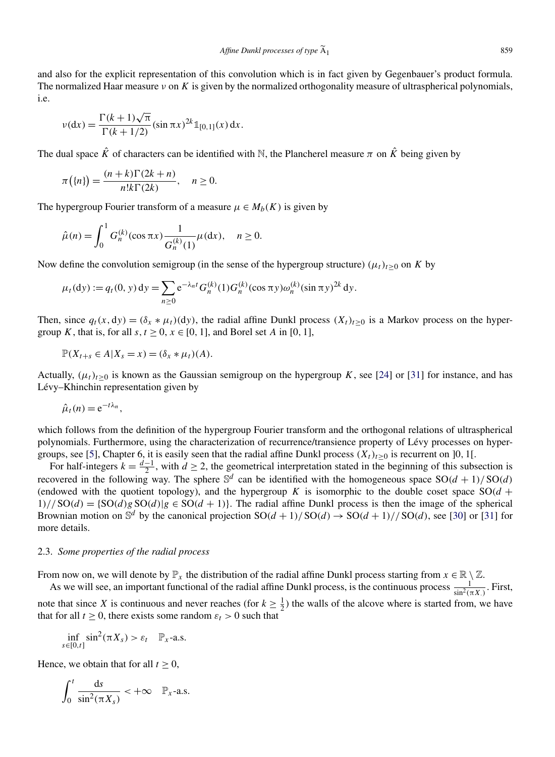and also for the explicit representation of this convolution which is in fact given by Gegenbauer's product formula. The normalized Haar measure *ν* on *K* is given by the normalized orthogonality measure of ultraspherical polynomials, i.e.

$$
v(\mathrm{d}x) = \frac{\Gamma(k+1)\sqrt{\pi}}{\Gamma(k+1/2)} (\sin \pi x)^{2k} \mathbb{1}_{[0,1]}(x) \,\mathrm{d}x.
$$

The dual space  $\hat{K}$  of characters can be identified with N, the Plancherel measure  $\pi$  on  $\hat{K}$  being given by

$$
\pi(\lbrace n \rbrace) = \frac{(n+k)\Gamma(2k+n)}{n!k\Gamma(2k)}, \quad n \ge 0.
$$

The hypergroup Fourier transform of a measure  $\mu \in M_b(K)$  is given by

$$
\hat{\mu}(n) = \int_0^1 G_n^{(k)}(\cos \pi x) \frac{1}{G_n^{(k)}(1)} \mu(\mathrm{d}x), \quad n \ge 0.
$$

Now define the convolution semigroup (in the sense of the hypergroup structure)  $(\mu_t)_{t>0}$  on *K* by

$$
\mu_t(dy) := q_t(0, y) dy = \sum_{n \ge 0} e^{-\lambda_n t} G_n^{(k)}(1) G_n^{(k)}(\cos \pi y) \omega_n^{(k)}(\sin \pi y)^{2k} dy.
$$

Then, since  $q_t(x, dy) = (\delta_x * \mu_t)(dy)$ , the radial affine Dunkl process  $(X_t)_{t>0}$  is a Markov process on the hypergroup *K*, that is, for all  $s, t \ge 0, x \in [0, 1]$ , and Borel set *A* in [0, 1],

$$
\mathbb{P}(X_{t+s}\in A|X_s=x)=(\delta_x*\mu_t)(A).
$$

Actually,  $(\mu_t)_{t\geq 0}$  is known as the Gaussian semigroup on the hypergroup *K*, see [\[24\]](#page-16-0) or [\[31\]](#page-16-0) for instance, and has Lévy–Khinchin representation given by

$$
\hat{\mu}_t(n) = e^{-t\lambda_n},
$$

which follows from the definition of the hypergroup Fourier transform and the orthogonal relations of ultraspherical polynomials. Furthermore, using the characterization of recurrence/transience property of Lévy processes on hyper-groups, see [\[5\]](#page-15-0), Chapter 6, it is easily seen that the radial affine Dunkl process  $(X_t)_{t\geq0}$  is recurrent on ]0, 1[.

For half-integers  $k = \frac{d-1}{2}$ , with  $d \ge 2$ , the geometrical interpretation stated in the beginning of this subsection is recovered in the following way. The sphere  $\mathbb{S}^d$  can be identified with the homogeneous space  $SO(d+1)/SO(d)$ (endowed with the quotient topology), and the hypergroup *K* is isomorphic to the double coset space  $SO(d +$  $1)/\sqrt{SO(d)} = \{SO(d)g SO(d) | g \in SO(d+1)\}\.$  The radial affine Dunkl process is then the image of the spherical Brownian motion on  $\mathbb{S}^d$  by the canonical projection  $SO(d+1)/SO(d) \rightarrow SO(d+1)/SO(d)$ , see [\[30\]](#page-16-0) or [\[31\]](#page-16-0) for more details.

#### 2.3. *Some properties of the radial process*

From now on, we will denote by  $\mathbb{P}_x$  the distribution of the radial affine Dunkl process starting from  $x \in \mathbb{R} \setminus \mathbb{Z}$ .

As we will see, an important functional of the radial affine Dunkl process, is the continuous process  $\frac{1}{\sin^2(\pi X)}$ . First, note that since *X* is continuous and never reaches (for  $k \ge \frac{1}{2}$ ) the walls of the alcove where is started from, we have that for all  $t \geq 0$ , there exists some random  $\varepsilon_t > 0$  such that

$$
\inf_{s\in[0,t]}\sin^2(\pi X_s)>\varepsilon_t\quad\mathbb{P}_x\text{-a.s.}
$$

Hence, we obtain that for all  $t \geq 0$ ,

$$
\int_0^t \frac{\mathrm{d}s}{\sin^2(\pi X_s)} < +\infty \quad \mathbb{P}_x\text{-a.s.}
$$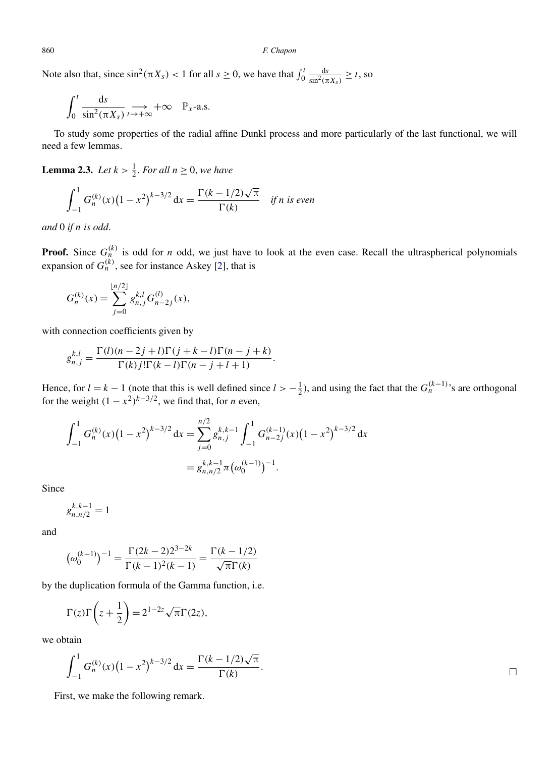Note also that, since  $\sin^2(\pi X_s) < 1$  for all  $s \ge 0$ , we have that  $\int_0^t \frac{ds}{\sin^2(\pi X_s)} \ge t$ , so

$$
\int_0^t \frac{\mathrm{d}s}{\sin^2(\pi X_s)} \underset{t \to +\infty}{\longrightarrow} +\infty \quad \mathbb{P}_x\text{-a.s.}
$$

To study some properties of the radial affine Dunkl process and more particularly of the last functional, we will need a few lemmas.

**Lemma 2.3.** *Let*  $k > \frac{1}{2}$ *. For all*  $n \ge 0$ *, we have* 

$$
\int_{-1}^{1} G_n^{(k)}(x) (1 - x^2)^{k - 3/2} dx = \frac{\Gamma(k - 1/2)\sqrt{\pi}}{\Gamma(k)} \quad \text{if } n \text{ is even}
$$

*and* 0 *if n is odd*.

**Proof.** Since  $G_n^{(k)}$  is odd for *n* odd, we just have to look at the even case. Recall the ultraspherical polynomials expansion of  $G_n^{(k)}$ , see for instance Askey [\[2\]](#page-15-0), that is

$$
G_n^{(k)}(x) = \sum_{j=0}^{\lfloor n/2 \rfloor} g_{n,j}^{k,l} G_{n-2j}^{(l)}(x),
$$

with connection coefficients given by

$$
g_{n,j}^{k,l} = \frac{\Gamma(l)(n-2j+l)\Gamma(j+k-l)\Gamma(n-j+k)}{\Gamma(k)j!\Gamma(k-l)\Gamma(n-j+l+1)}.
$$

Hence, for  $l = k - 1$  (note that this is well defined since  $l > -\frac{1}{2}$ ), and using the fact that the  $G_n^{(k-1)}$ 's are orthogonal for the weight  $(1 - x^2)^{k-3/2}$ , we find that, for *n* even,

$$
\int_{-1}^{1} G_n^{(k)}(x) \left(1 - x^2\right)^{k-3/2} dx = \sum_{j=0}^{n/2} g_{n,j}^{k,k-1} \int_{-1}^{1} G_{n-2j}^{(k-1)}(x) \left(1 - x^2\right)^{k-3/2} dx
$$

$$
= g_{n,n/2}^{k,k-1} \pi \left(\omega_0^{(k-1)}\right)^{-1}.
$$

Since

 $g_{n,n/2}^{k,k-1} = 1$ 

and

$$
(\omega_0^{(k-1)})^{-1} = \frac{\Gamma(2k-2)2^{3-2k}}{\Gamma(k-1)^2(k-1)} = \frac{\Gamma(k-1/2)}{\sqrt{\pi}\Gamma(k)}
$$

by the duplication formula of the Gamma function, i.e.

$$
\Gamma(z)\Gamma\left(z+\frac{1}{2}\right) = 2^{1-2z}\sqrt{\pi}\Gamma(2z),
$$

we obtain

$$
\int_{-1}^{1} G_n^{(k)}(x) \left(1 - x^2\right)^{k - 3/2} dx = \frac{\Gamma(k - 1/2)\sqrt{\pi}}{\Gamma(k)}.
$$

First, we make the following remark.

<span id="page-6-0"></span>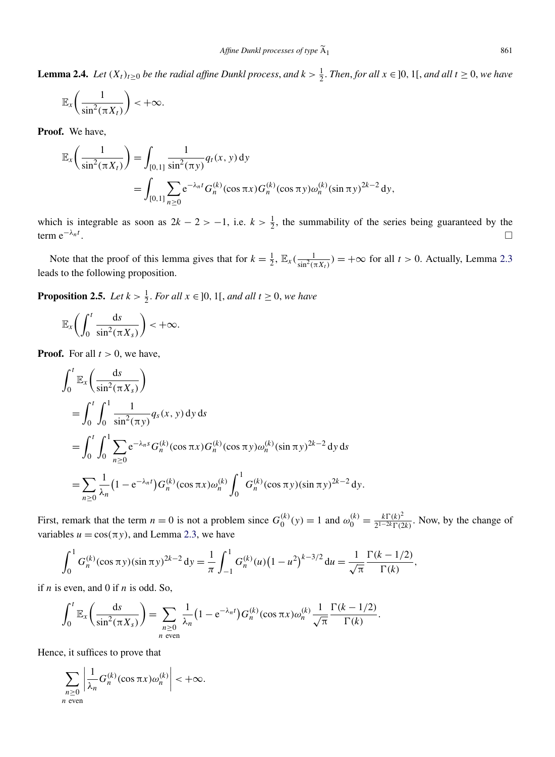<span id="page-7-0"></span>**Lemma 2.4.** *Let*  $(X_t)_{t\geq 0}$  *be the radial affine Dunkl process, and*  $k > \frac{1}{2}$ *. Then, for all*  $x \in ]0, 1[$ *, and all*  $t \geq 0$ *, we have* 

$$
\mathbb{E}_x\bigg(\frac{1}{\sin^2(\pi X_t)}\bigg) < +\infty.
$$

**Proof.** We have,

$$
\mathbb{E}_{x}\left(\frac{1}{\sin^{2}(\pi X_{t})}\right) = \int_{[0,1]} \frac{1}{\sin^{2}(\pi y)} q_{t}(x, y) dy
$$
  
= 
$$
\int_{[0,1]} \sum_{n\geq 0} e^{-\lambda_{n}t} G_{n}^{(k)}(\cos \pi x) G_{n}^{(k)}(\cos \pi y) \omega_{n}^{(k)}(\sin \pi y)^{2k-2} dy,
$$

which is integrable as soon as  $2k - 2 > -1$ , i.e.  $k > \frac{1}{2}$ , the summability of the series being guaranteed by the term  $e^{-\lambda_n t}$ . . - $\Box$ 

Note that the proof of this lemma gives that for  $k = \frac{1}{2}$ ,  $\mathbb{E}_x(\frac{1}{\sin^2(\pi X_t)}) = +\infty$  for all  $t > 0$ . Actually, Lemma [2.3](#page-6-0) leads to the following proposition.

**Proposition 2.5.** *Let*  $k > \frac{1}{2}$ *. For all*  $x \in ]0, 1[$ *, and all*  $t \ge 0$ *, we have* 

$$
\mathbb{E}_x\bigg(\int_0^t \frac{\mathrm{d}s}{\sin^2(\pi X_s)}\bigg) < +\infty.
$$

**Proof.** For all  $t > 0$ , we have,

$$
\int_0^t \mathbb{E}_x \left( \frac{ds}{\sin^2(\pi X_s)} \right)
$$
  
= 
$$
\int_0^t \int_0^1 \frac{1}{\sin^2(\pi y)} q_s(x, y) dy ds
$$
  
= 
$$
\int_0^t \int_0^1 \sum_{n\geq 0} e^{-\lambda_n s} G_n^{(k)}(\cos \pi x) G_n^{(k)}(\cos \pi y) \omega_n^{(k)}(\sin \pi y)^{2k-2} dy ds
$$
  
= 
$$
\sum_{n\geq 0} \frac{1}{\lambda_n} (1 - e^{-\lambda_n t}) G_n^{(k)}(\cos \pi x) \omega_n^{(k)} \int_0^1 G_n^{(k)}(\cos \pi y) (\sin \pi y)^{2k-2} dy.
$$

First, remark that the term  $n = 0$  is not a problem since  $G_0^{(k)}(y) = 1$  and  $\omega_0^{(k)} = \frac{k\Gamma(k)^2}{2^{1-2k}\Gamma(2k)}$ . Now, by the change of variables  $u = cos(\pi y)$ , and Lemma [2.3,](#page-6-0) we have

$$
\int_0^1 G_n^{(k)}(\cos \pi y)(\sin \pi y)^{2k-2} dy = \frac{1}{\pi} \int_{-1}^1 G_n^{(k)}(u) (1-u^2)^{k-3/2} du = \frac{1}{\sqrt{\pi}} \frac{\Gamma(k-1/2)}{\Gamma(k)},
$$

if *n* is even, and 0 if *n* is odd. So,

$$
\int_0^t \mathbb{E}_x\left(\frac{\mathrm{d}s}{\sin^2(\pi X_s)}\right) = \sum_{\substack{n\geq 0\\ n \text{ even}}} \frac{1}{\lambda_n} \left(1 - \mathrm{e}^{-\lambda_n t}\right) G_n^{(k)}(\cos \pi x) \omega_n^{(k)} \frac{1}{\sqrt{\pi}} \frac{\Gamma(k-1/2)}{\Gamma(k)}.
$$

Hence, it suffices to prove that

$$
\sum_{\substack{n\geq 0\\n \text{ even}}} \left| \frac{1}{\lambda_n} G_n^{(k)}(\cos \pi x) \omega_n^{(k)} \right| < +\infty.
$$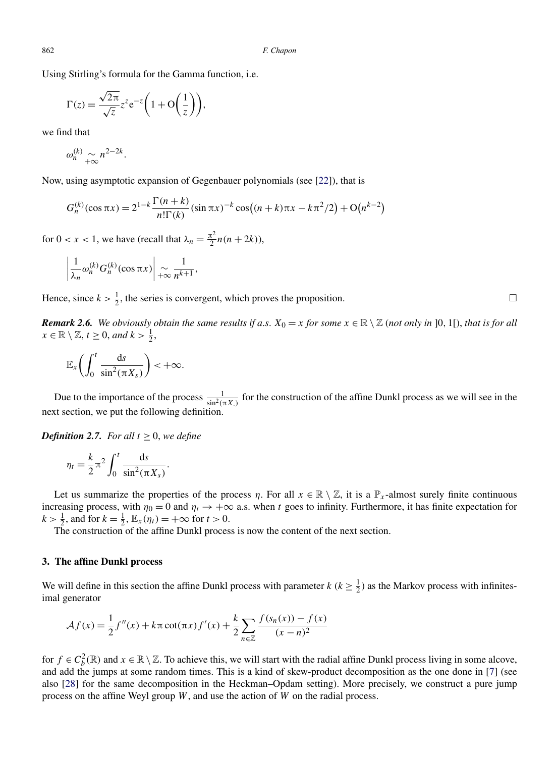<span id="page-8-0"></span>Using Stirling's formula for the Gamma function, i.e.

$$
\Gamma(z) = \frac{\sqrt{2\pi}}{\sqrt{z}} z^z e^{-z} \left( 1 + \mathcal{O}\left(\frac{1}{z}\right) \right),
$$

we find that

$$
\omega_n^{(k)} \underset{+\infty}{\sim} n^{2-2k}.
$$

Now, using asymptotic expansion of Gegenbauer polynomials (see [\[22\]](#page-15-0)), that is

$$
G_n^{(k)}(\cos \pi x) = 2^{1-k} \frac{\Gamma(n+k)}{n!\Gamma(k)} (\sin \pi x)^{-k} \cos\left((n+k)\pi x - k\pi^2/2\right) + O(n^{k-2})
$$

for  $0 < x < 1$ , we have (recall that  $\lambda_n = \frac{\pi^2}{2} n(n + 2k)$ ),

$$
\left|\frac{1}{\lambda_n}\omega_n^{(k)}G_n^{(k)}(\cos \pi x)\right|\underset{+\infty}{\sim}\frac{1}{n^{k+1}},
$$

Hence, since  $k > \frac{1}{2}$ , the series is convergent, which proves the proposition.

*Remark 2.6. We obviously obtain the same results if a.s.*  $X_0 = x$  *for some*  $x \in \mathbb{R} \setminus \mathbb{Z}$  *(not only in* ]0, 1[), *that is for all*  $x \in \mathbb{R} \setminus \mathbb{Z}, t \geq 0, \text{ and } k > \frac{1}{2},$ 

$$
\mathbb{E}_x\bigg(\int_0^t \frac{\mathrm{d}s}{\sin^2(\pi X_s)}\bigg) < +\infty.
$$

Due to the importance of the process  $\frac{1}{\sin^2(\pi X)}$  for the construction of the affine Dunkl process as we will see in the next section, we put the following definition.

*Definition 2.7. For all*  $t \geq 0$ , *we define* 

$$
\eta_t = \frac{k}{2} \pi^2 \int_0^t \frac{\mathrm{d}s}{\sin^2(\pi X_s)}.
$$

Let us summarize the properties of the process *η*. For all  $x \in \mathbb{R} \setminus \mathbb{Z}$ , it is a  $\mathbb{P}_x$ -almost surely finite continuous increasing process, with  $\eta_0 = 0$  and  $\eta_t \to +\infty$  a.s. when *t* goes to infinity. Furthermore, it has finite expectation for  $k > \frac{1}{2}$ , and for  $k = \frac{1}{2}$ ,  $\mathbb{E}_x(\eta_t) = +\infty$  for  $t > 0$ .

The construction of the affine Dunkl process is now the content of the next section.

#### **3. The affine Dunkl process**

We will define in this section the affine Dunkl process with parameter  $k$  ( $k \geq \frac{1}{2}$ ) as the Markov process with infinitesimal generator

$$
\mathcal{A}f(x) = \frac{1}{2}f''(x) + k\pi \cot(\pi x)f'(x) + \frac{k}{2} \sum_{n \in \mathbb{Z}} \frac{f(s_n(x)) - f(x)}{(x - n)^2}
$$

for  $f \in C_b^2(\mathbb{R})$  and  $x \in \mathbb{R} \setminus \mathbb{Z}$ . To achieve this, we will start with the radial affine Dunkl process living in some alcove, and add the jumps at some random times. This is a kind of skew-product decomposition as the one done in [\[7\]](#page-15-0) (see also [\[28\]](#page-16-0) for the same decomposition in the Heckman–Opdam setting). More precisely, we construct a pure jump process on the affine Weyl group *W*, and use the action of *W* on the radial process.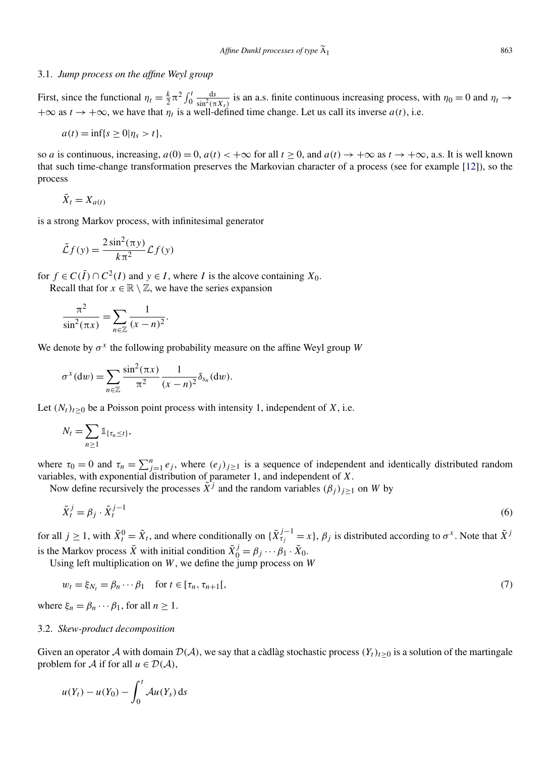#### <span id="page-9-0"></span>3.1. *Jump process on the affine Weyl group*

First, since the functional  $\eta_t = \frac{k}{2} \pi^2 \int_0^t \frac{ds}{\sin^2(\pi X_s)}$  is an a.s. finite continuous increasing process, with  $\eta_0 = 0$  and  $\eta_t \to$  $+\infty$  as  $t \to +\infty$ , we have that  $\eta_t$  is a well-defined time change. Let us call its inverse  $a(t)$ , i.e.

$$
a(t) = \inf\{s \ge 0 | \eta_s > t\},\
$$

so *a* is continuous, increasing,  $a(0) = 0$ ,  $a(t) < +\infty$  for all  $t > 0$ , and  $a(t) \to +\infty$  as  $t \to +\infty$ , a.s. It is well known that such time-change transformation preserves the Markovian character of a process (see for example [\[12\]](#page-15-0)), so the process

$$
\tilde{X}_t = X_{a(t)}
$$

is a strong Markov process, with infinitesimal generator

$$
\tilde{\mathcal{L}}f(y) = \frac{2\sin^2(\pi y)}{k\pi^2} \mathcal{L}f(y)
$$

for  $f \in C(\overline{I}) \cap C^2(I)$  and  $y \in I$ , where *I* is the alcove containing  $X_0$ .

Recall that for  $x \in \mathbb{R} \setminus \mathbb{Z}$ , we have the series expansion

$$
\frac{\pi^2}{\sin^2(\pi x)} = \sum_{n \in \mathbb{Z}} \frac{1}{(x-n)^2}.
$$

We denote by  $\sigma^x$  the following probability measure on the affine Weyl group *W* 

$$
\sigma^x(\mathrm{d}w)=\sum_{n\in\mathbb{Z}}\frac{\sin^2(\pi x)}{\pi^2}\frac{1}{(x-n)^2}\delta_{s_n}(\mathrm{d}w).
$$

Let  $(N_t)_{t\geq 0}$  be a Poisson point process with intensity 1, independent of *X*, i.e.

$$
N_t = \sum_{n\geq 1} \mathbb{1}_{\{\tau_n \leq t\}},
$$

where  $\tau_0 = 0$  and  $\tau_n = \sum_{j=1}^n e_j$ , where  $(e_j)_{j \geq 1}$  is a sequence of independent and identically distributed random variables, with exponential distribution of parameter 1, and independent of *X*.

Now define recursively the processes  $\tilde{X}^j$  and the random variables  $(\beta_j)_{j\geq 1}$  on *W* by

$$
\tilde{X}_t^j = \beta_j \cdot \tilde{X}_t^{j-1} \tag{6}
$$

for all  $j \ge 1$ , with  $\tilde{X}_t^0 = \tilde{X}_t$ , and where conditionally on  $\{\tilde{X}_{\tau_j}^{j-1} = x\}$ ,  $\beta_j$  is distributed according to  $\sigma^x$ . Note that  $\tilde{X}^j$ is the Markov process  $\tilde{X}$  with initial condition  $\tilde{X}_0^j = \beta_j \cdots \beta_1 \cdot \tilde{X}_0$ .

Using left multiplication on *W*, we define the jump process on *W*

$$
w_t = \xi_{N_t} = \beta_n \cdots \beta_1 \quad \text{for } t \in [\tau_n, \tau_{n+1}[,
$$
\n
$$
\tag{7}
$$

where  $\xi_n = \beta_n \cdots \beta_1$ , for all  $n \ge 1$ .

#### 3.2. *Skew-product decomposition*

Given an operator A with domain  $\mathcal{D}(\mathcal{A})$ , we say that a càdlàg stochastic process  $(Y_t)_{t\geq0}$  is a solution of the martingale problem for A if for all  $u \in \mathcal{D}(\mathcal{A})$ ,

$$
u(Y_t) - u(Y_0) - \int_0^t \mathcal{A}u(Y_s) \, \mathrm{d} s
$$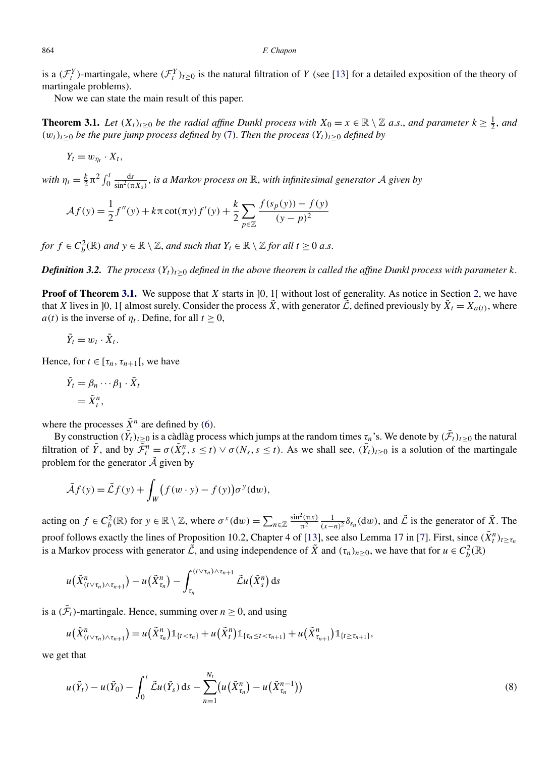#### <span id="page-10-0"></span>864 *F. Chapon*

is a  $(\mathcal{F}^Y_t)$ -martingale, where  $(\mathcal{F}^Y_t)_{t\geq0}$  is the natural filtration of *Y* (see [\[13\]](#page-15-0) for a detailed exposition of the theory of martingale problems).

Now we can state the main result of this paper.

**Theorem 3.1.** *Let*  $(X_t)_{t\geq 0}$  *be the radial affine Dunkl process with*  $X_0 = x \in \mathbb{R} \setminus \mathbb{Z}$  *a.s., and parameter*  $k \geq \frac{1}{2}$ *, and*  $(w_t)_{t\geq0}$  *be the pure jump process defined by* [\(7\)](#page-9-0). *Then the process*  $(Y_t)_{t\geq0}$  *defined by* 

$$
Y_t = w_{\eta_t} \cdot X_t,
$$

*with*  $\eta_t = \frac{k}{2} \pi^2 \int_0^t \frac{ds}{\sin^2(\pi X_s)}$ , *is a Markov process on* R, *with infinitesimal generator* A *given by* 

$$
\mathcal{A}f(y) = \frac{1}{2}f''(y) + k\pi \cot(\pi y)f'(y) + \frac{k}{2} \sum_{p \in \mathbb{Z}} \frac{f(s_p(y)) - f(y)}{(y - p)^2}
$$

*for*  $f \in C_b^2(\mathbb{R})$  *and*  $y \in \mathbb{R} \setminus \mathbb{Z}$ *, and such that*  $Y_t \in \mathbb{R} \setminus \mathbb{Z}$  *for all*  $t \ge 0$  *a.s.* 

*Definition 3.2. The process*  $(Y_t)_{t\geq 0}$  *defined in the above theorem is called the affine Dunkl process with parameter k.* 

**Proof of Theorem 3.1.** We suppose that *X* starts in [0, 1] without lost of generality. As notice in Section [2,](#page-3-0) we have that *X* lives in [0, 1] almost surely. Consider the process  $\tilde{X}$ , with generator  $\tilde{L}$ , defined previously by  $\tilde{X}_t = X_{a(t)}$ , where *a(t)* is the inverse of  $\eta_t$ . Define, for all  $t \geq 0$ ,

$$
\tilde{Y}_t = w_t \cdot \tilde{X}_t.
$$

Hence, for  $t \in [\tau_n, \tau_{n+1}]$ , we have

$$
\begin{aligned} \tilde{Y}_t &= \beta_n \cdots \beta_1 \cdot \tilde{X}_t \\ &= \tilde{X}_t^n, \end{aligned}
$$

where the processes  $\tilde{X}^n$  are defined by [\(6\)](#page-9-0).

By construction  $(\tilde{Y}_t)_{t\geq 0}$  is a càdlàg process which jumps at the random times  $\tau_n$ 's. We denote by  $(\tilde{\mathcal{F}}_t)_{t\geq 0}$  the natural filtration of  $\tilde{Y}$ , and by  $\overline{\tilde{P}}_t^n = \sigma(\tilde{X}_s^n, s \le t) \vee \sigma(N_s, s \le t)$ . As we shall see,  $(\tilde{Y}_t)_{t \ge 0}$  is a solution of the martingale problem for the generator  $\tilde{A}$  given by

$$
\tilde{\mathcal{A}}f(y) = \tilde{\mathcal{L}}f(y) + \int_W (f(w \cdot y) - f(y))\sigma^y(\mathrm{d}w),
$$

acting on  $f \in C_b^2(\mathbb{R})$  for  $y \in \mathbb{R} \setminus \mathbb{Z}$ , where  $\sigma^x(\mathrm{d}w) = \sum_{n \in \mathbb{Z}} \frac{\sin^2(\pi x)}{\pi^2}$  $\frac{\partial^2(\pi x)}{\partial^2} \frac{1}{(x-n)^2} \delta_{s_n}(\text{d}w)$ , and  $\tilde{\mathcal{L}}$  is the generator of  $\tilde{X}$ . The proof follows exactly the lines of Proposition 10.2, Chapter 4 of [\[13\]](#page-15-0), see also Lemma 17 in [\[7\]](#page-15-0). First, since  $(\tilde{X}_t^n)_{t \ge \tau_n}$ is a Markov process with generator  $\tilde{\mathcal{L}}$ , and using independence of  $\tilde{X}$  and  $(\tau_n)_{n\geq 0}$ , we have that for  $u \in C_b^2(\mathbb{R})$ 

$$
u(\tilde{X}_{(t\vee\tau_n)\wedge\tau_{n+1}}^n)-u(\tilde{X}_{\tau_n}^n)-\int_{\tau_n}^{(t\vee\tau_n)\wedge\tau_{n+1}} \tilde{\mathcal{L}}u(\tilde{X}_{s}^n) ds
$$

is a  $(\tilde{\mathcal{F}}_t)$ -martingale. Hence, summing over  $n \geq 0$ , and using

$$
u(\tilde{X}_{(t\vee\tau_n)\wedge\tau_{n+1}}^n)=u(\tilde{X}_{\tau_n}^n)\mathbb{1}_{\{t<\tau_n\}}+u(\tilde{X}_{t}^n)\mathbb{1}_{\{\tau_n\leq t<\tau_{n+1}\}}+u(\tilde{X}_{\tau_{n+1}}^n)\mathbb{1}_{\{t\geq\tau_{n+1}\}},
$$

we get that

$$
u(\tilde{Y}_t) - u(\tilde{Y}_0) - \int_0^t \tilde{\mathcal{L}} u(\tilde{Y}_s) ds - \sum_{n=1}^{N_t} \left( u(\tilde{X}_{\tau_n}^n) - u(\tilde{X}_{\tau_n}^{n-1}) \right) \tag{8}
$$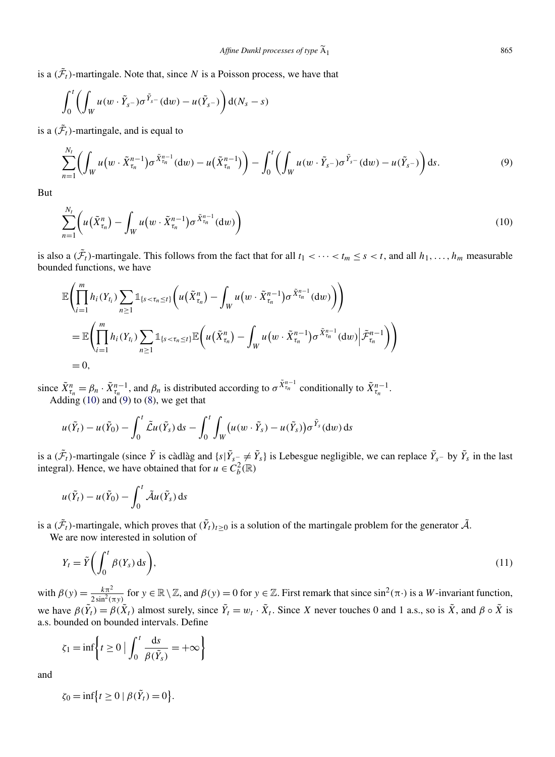<span id="page-11-0"></span>is a  $(\tilde{\mathcal{F}}_t)$ -martingale. Note that, since *N* is a Poisson process, we have that

$$
\int_0^t \left( \int_W u(w \cdot \tilde{Y}_{s^-}) \sigma^{\tilde{Y}_{s^-}}(dw) - u(\tilde{Y}_{s^-}) \right) d(N_s - s)
$$

is a  $(\tilde{\mathcal{F}}_t)$ -martingale, and is equal to

$$
\sum_{n=1}^{N_t} \left( \int_W u(w \cdot \tilde{X}_{\tau_n}^{n-1}) \sigma^{\tilde{X}_{\tau_n}^{n-1}}(\mathrm{d}w) - u(\tilde{X}_{\tau_n}^{n-1}) \right) - \int_0^t \left( \int_W u(w \cdot \tilde{Y}_{s-}) \sigma^{\tilde{Y}_{s-}}(\mathrm{d}w) - u(\tilde{Y}_{s-}) \right) \mathrm{d}s. \tag{9}
$$

But

$$
\sum_{n=1}^{N_t} \left( u\left(\tilde{X}_{\tau_n}^n\right) - \int_W u\left(w \cdot \tilde{X}_{\tau_n}^{n-1}\right) \sigma^{\tilde{X}_{\tau_n}^{n-1}}(\mathrm{d}w)\right) \tag{10}
$$

is also a  $(\tilde{\mathcal{F}}_t)$ -martingale. This follows from the fact that for all  $t_1 < \cdots < t_m \le s < t$ , and all  $h_1, \ldots, h_m$  measurable bounded functions, we have

$$
\mathbb{E}\left(\prod_{i=1}^{m}h_i(Y_{t_i})\sum_{n\geq 1}\mathbb{1}_{\{s<\tau_n\leq t\}}\left(u(\tilde{X}_{\tau_n}^n)-\int_W u(w\cdot \tilde{X}_{\tau_n}^{n-1})\sigma^{\tilde{X}_{\tau_n}^{n-1}}(\mathrm{d}w)\right)\right) \\
= \mathbb{E}\left(\prod_{i=1}^{m}h_i(Y_{t_i})\sum_{n\geq 1}\mathbb{1}_{\{s<\tau_n\leq t\}}\mathbb{E}\left(u(\tilde{X}_{\tau_n}^n)-\int_W u(w\cdot \tilde{X}_{\tau_n}^{n-1})\sigma^{\tilde{X}_{\tau_n}^{n-1}}(\mathrm{d}w)\Big|\tilde{\mathcal{F}}_{\tau_n}^{n-1}\right)\right) \\
=0,
$$

since  $\tilde{X}_{\tau_n}^n = \beta_n \cdot \tilde{X}_{\tau_n}^{n-1}$ , and  $\beta_n$  is distributed according to  $\sigma \tilde{X}_{\tau_n}^{n-1}$  conditionally to  $\tilde{X}_{\tau_n}^{n-1}$ . Adding  $(10)$  and  $(9)$  to  $(8)$ , we get that

$$
u(\tilde{Y}_t) - u(\tilde{Y}_0) - \int_0^t \tilde{\mathcal{L}} u(\tilde{Y}_s) ds - \int_0^t \int_W \big( u(w \cdot \tilde{Y}_s) - u(\tilde{Y}_s) \big) \sigma^{\tilde{Y}_s}(dw) ds
$$

is a  $(\tilde{\mathcal{F}}_t)$ -martingale (since  $\tilde{Y}$  is càdlàg and  $\{s | \tilde{Y}_{s^-} \neq \tilde{Y}_s\}$  is Lebesgue negligible, we can replace  $\tilde{Y}_{s^-}$  by  $\tilde{Y}_s$  in the last integral). Hence, we have obtained that for  $u \in C_b^2(\mathbb{R})$ 

$$
u(\tilde{Y}_t) - u(\tilde{Y}_0) - \int_0^t \tilde{\mathcal{A}} u(\tilde{Y}_s) \, \mathrm{d} s
$$

is a  $(\tilde{\mathcal{F}}_t)$ -martingale, which proves that  $(\tilde{Y}_t)_{t\geq 0}$  is a solution of the martingale problem for the generator  $\tilde{\mathcal{A}}$ .

We are now interested in solution of

$$
Y_t = \tilde{Y} \left( \int_0^t \beta(Y_s) \, ds \right),\tag{11}
$$

with  $\beta(y) = \frac{k\pi^2}{2\sin^2(\pi y)}$  for  $y \in \mathbb{R} \setminus \mathbb{Z}$ , and  $\beta(y) = 0$  for  $y \in \mathbb{Z}$ . First remark that since  $\sin^2(\pi \cdot)$  is a *W*-invariant function, we have  $\beta(\tilde{Y}_t) = \beta(\tilde{X}_t)$  almost surely, since  $\tilde{Y}_t = w_t \cdot \tilde{X}_t$ . Since *X* never touches 0 and 1 a.s., so is  $\tilde{X}$ , and  $\beta \circ \tilde{X}$  is a.s. bounded on bounded intervals. Define

$$
\zeta_1 = \inf \left\{ t \ge 0 \mid \int_0^t \frac{\mathrm{d}s}{\beta(\tilde{Y}_s)} = +\infty \right\}
$$

*.*

and

$$
\zeta_0 = \inf \{ t \ge 0 \mid \beta(\tilde{Y}_t) = 0 \}
$$

 $A_1$  865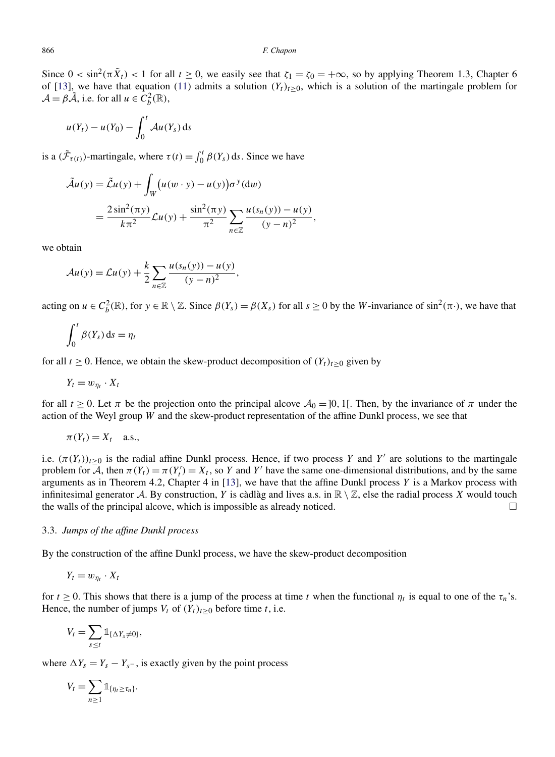Since  $0 < \sin^2(\pi \tilde{X}_t) < 1$  for all  $t \ge 0$ , we easily see that  $\zeta_1 = \zeta_0 = +\infty$ , so by applying Theorem 1*.*3, Chapter 6 of [\[13\]](#page-15-0), we have that equation [\(11\)](#page-11-0) admits a solution  $(Y_t)_{t>0}$ , which is a solution of the martingale problem for  $\mathcal{A} = \beta \tilde{\mathcal{A}}$ , i.e. for all  $u \in C_b^2(\mathbb{R})$ ,

$$
u(Y_t) - u(Y_0) - \int_0^t \mathcal{A}u(Y_s) \, \mathrm{d} s
$$

is a  $(\tilde{\mathcal{F}}_{\tau(t)})$ -martingale, where  $\tau(t) = \int_0^t \beta(Y_s) ds$ . Since we have

$$
\tilde{\mathcal{A}}u(y) = \tilde{\mathcal{L}}u(y) + \int_{W} (u(w \cdot y) - u(y)) \sigma^{y} (dw)
$$
  
= 
$$
\frac{2 \sin^{2}(\pi y)}{k \pi^{2}} \mathcal{L}u(y) + \frac{\sin^{2}(\pi y)}{\pi^{2}} \sum_{n \in \mathbb{Z}} \frac{u(s_{n}(y)) - u(y)}{(y - n)^{2}},
$$

we obtain

$$
\mathcal{A}u(y) = \mathcal{L}u(y) + \frac{k}{2} \sum_{n \in \mathbb{Z}} \frac{u(s_n(y)) - u(y)}{(y - n)^2},
$$

acting on  $u \in C_b^2(\mathbb{R})$ , for  $y \in \mathbb{R} \setminus \mathbb{Z}$ . Since  $\beta(Y_s) = \beta(X_s)$  for all  $s \ge 0$  by the *W*-invariance of sin<sup>2</sup>( $\pi$ ·), we have that

$$
\int_0^t \beta(Y_s) \, \mathrm{d} s = \eta_t
$$

for all  $t \ge 0$ . Hence, we obtain the skew-product decomposition of  $(Y_t)_{t>0}$  given by

$$
Y_t = w_{\eta_t} \cdot X_t
$$

for all  $t \ge 0$ . Let  $\pi$  be the projection onto the principal alcove  $\mathcal{A}_0 = ]0, 1[$ . Then, by the invariance of  $\pi$  under the action of the Weyl group *W* and the skew-product representation of the affine Dunkl process, we see that

$$
\pi(Y_t) = X_t \quad \text{a.s.,}
$$

i.e.  $(\pi(Y_t))_{t\geq 0}$  is the radial affine Dunkl process. Hence, if two process *Y* and *Y'* are solutions to the martingale problem for  $\overline{A}$ , then  $\pi(Y_t) = \pi(Y_t') = X_t$ , so *Y* and *Y'* have the same one-dimensional distributions, and by the same arguments as in Theorem 4*.*2, Chapter 4 in [\[13\]](#page-15-0), we have that the affine Dunkl process *Y* is a Markov process with infinitesimal generator A. By construction, Y is càdlàg and lives a.s. in  $\mathbb{R} \setminus \mathbb{Z}$ , else the radial process X would touch the walls of the principal alcove, which is impossible as already noticed. - $\Box$ 

#### 3.3. *Jumps of the affine Dunkl process*

By the construction of the affine Dunkl process, we have the skew-product decomposition

 $Y_t = w_{n_t} \cdot X_t$ 

for  $t \ge 0$ . This shows that there is a jump of the process at time t when the functional  $\eta_t$  is equal to one of the  $\tau_n$ 's. Hence, the number of jumps  $V_t$  of  $(Y_t)_{t\geq 0}$  before time *t*, i.e.

$$
V_t = \sum_{s \leq t} \mathbb{1}_{\{\Delta Y_s \neq 0\}},
$$

where  $\Delta Y_s = Y_s - Y_{s^-}$ , is exactly given by the point process

$$
V_t = \sum_{n\geq 1} \mathbb{1}_{\{\eta_t \geq \tau_n\}}.
$$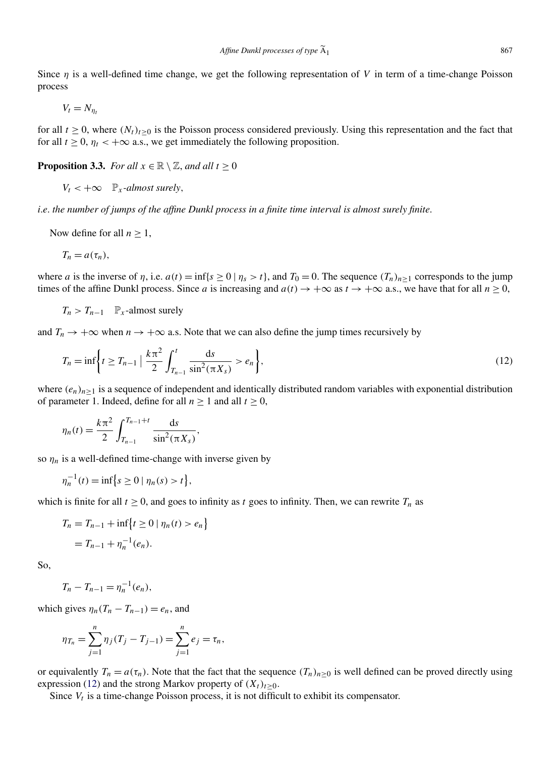Since *η* is a well-defined time change, we get the following representation of *V* in term of a time-change Poisson process

$$
V_t = N_{\eta_t}
$$

for all  $t \ge 0$ , where  $(N_t)_{t>0}$  is the Poisson process considered previously. Using this representation and the fact that for all  $t \geq 0$ ,  $\eta_t < +\infty$  a.s., we get immediately the following proposition.

**Proposition 3.3.** *For all*  $x \in \mathbb{R} \setminus \mathbb{Z}$ *, and all*  $t \ge 0$ 

 $V_t < +\infty$   $\mathbb{P}_x$ -almost surely,

*i*.*e*. *the number of jumps of the affine Dunkl process in a finite time interval is almost surely finite*.

Now define for all  $n \geq 1$ ,

$$
T_n = a(\tau_n),
$$

where *a* is the inverse of *η*, i.e.  $a(t) = \inf\{s \ge 0 \mid \eta_s > t\}$ , and  $T_0 = 0$ . The sequence  $(T_n)_{n \ge 1}$  corresponds to the jump times of the affine Dunkl process. Since *a* is increasing and  $a(t) \rightarrow +\infty$  as  $t \rightarrow +\infty$  a.s., we have that for all  $n \ge 0$ ,

$$
T_n > T_{n-1} \quad \mathbb{P}_x
$$
-almost surely

and  $T_n \to +\infty$  when  $n \to +\infty$  a.s. Note that we can also define the jump times recursively by

$$
T_n = \inf \left\{ t \ge T_{n-1} \mid \frac{k \pi^2}{2} \int_{T_{n-1}}^t \frac{ds}{\sin^2(\pi X_s)} > e_n \right\},\tag{12}
$$

where  $(e_n)_{n\geq 1}$  is a sequence of independent and identically distributed random variables with exponential distribution of parameter 1. Indeed, define for all  $n \ge 1$  and all  $t \ge 0$ ,

$$
\eta_n(t) = \frac{k\pi^2}{2} \int_{T_{n-1}}^{T_{n-1}+t} \frac{\mathrm{d}s}{\sin^2(\pi X_s)},
$$

so  $\eta_n$  is a well-defined time-change with inverse given by

$$
\eta_n^{-1}(t) = \inf \big\{ s \ge 0 \mid \eta_n(s) > t \big\},\
$$

which is finite for all  $t \ge 0$ , and goes to infinity as t goes to infinity. Then, we can rewrite  $T_n$  as

$$
T_n = T_{n-1} + \inf \{ t \ge 0 \mid \eta_n(t) > e_n \}
$$
  
= 
$$
T_{n-1} + \eta_n^{-1}(e_n).
$$

So,

$$
T_n - T_{n-1} = \eta_n^{-1}(e_n),
$$

which gives  $\eta_n(T_n - T_{n-1}) = e_n$ , and

$$
\eta_{T_n} = \sum_{j=1}^n \eta_j (T_j - T_{j-1}) = \sum_{j=1}^n e_j = \tau_n,
$$

or equivalently  $T_n = a(\tau_n)$ . Note that the fact that the sequence  $(T_n)_{n\geq 0}$  is well defined can be proved directly using expression (12) and the strong Markov property of  $(X_t)_{t>0}$ .

Since  $V_t$  is a time-change Poisson process, it is not difficult to exhibit its compensator.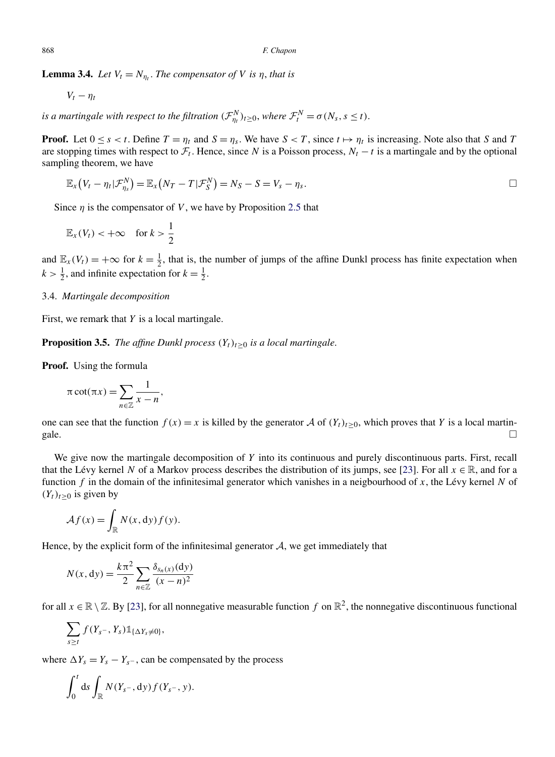**Lemma 3.4.** *Let*  $V_t = N_{n_t}$ . *The compensator of V is η*, *that is* 

$$
V_t-\eta_t
$$

*is a martingale with respect to the filtration*  $(\mathcal{F}_{\eta_t}^N)_{t \geq 0}$ *, where*  $\mathcal{F}_t^N = \sigma(N_s, s \leq t)$ *.* 

**Proof.** Let  $0 \le s < t$ . Define  $T = \eta_t$  and  $S = \eta_s$ . We have  $S < T$ , since  $t \mapsto \eta_t$  is increasing. Note also that *S* and *T* are stopping times with respect to  $\mathcal{F}_t$ . Hence, since *N* is a Poisson process,  $N_t - t$  is a martingale and by the optional sampling theorem, we have

$$
\mathbb{E}_x(V_t-\eta_t|\mathcal{F}_{\eta_s}^N)=\mathbb{E}_x(N_T-T|\mathcal{F}_{S}^N)=N_S-S=V_s-\eta_s.
$$

Since  $\eta$  is the compensator of *V*, we have by Proposition [2.5](#page-7-0) that

$$
\mathbb{E}_x(V_t) < +\infty \quad \text{for } k > \frac{1}{2}
$$

and  $\mathbb{E}_x(V_t) = +\infty$  for  $k = \frac{1}{2}$ , that is, the number of jumps of the affine Dunkl process has finite expectation when  $k > \frac{1}{2}$ , and infinite expectation for  $k = \frac{1}{2}$ .

#### 3.4. *Martingale decomposition*

First, we remark that *Y* is a local martingale.

**Proposition 3.5.** *The affine Dunkl process*  $(Y_t)_{t\geq0}$  *is a local martingale.* 

**Proof.** Using the formula

$$
\pi \cot(\pi x) = \sum_{n \in \mathbb{Z}} \frac{1}{x - n},
$$

one can see that the function  $f(x) = x$  is killed by the generator A of  $(Y_t)_{t \ge 0}$ , which proves that Y is a local martin-<br>gale. gale.  $\Box$ 

We give now the martingale decomposition of *Y* into its continuous and purely discontinuous parts. First, recall that the Lévy kernel *N* of a Markov process describes the distribution of its jumps, see [\[23\]](#page-16-0). For all  $x \in \mathbb{R}$ , and for a function *f* in the domain of the infinitesimal generator which vanishes in a neigbourhood of *x*, the Lévy kernel *N* of  $(Y_t)_{t\geq 0}$  is given by

$$
\mathcal{A}f(x) = \int_{\mathbb{R}} N(x, dy) f(y).
$$

Hence, by the explicit form of the infinitesimal generator  $A$ , we get immediately that

$$
N(x, dy) = \frac{k\pi^2}{2} \sum_{n \in \mathbb{Z}} \frac{\delta_{s_n(x)}(dy)}{(x - n)^2}
$$

for all  $x \in \mathbb{R} \setminus \mathbb{Z}$ . By [\[23\]](#page-16-0), for all nonnegative measurable function *f* on  $\mathbb{R}^2$ , the nonnegative discontinuous functional

$$
\sum_{s\geq t} f(Y_{s^-}, Y_s) \mathbb{1}_{\{\Delta Y_s \neq 0\}},
$$

where  $\Delta Y_s = Y_s - Y_{s^-}$ , can be compensated by the process

$$
\int_0^t ds \int_{\mathbb{R}} N(Y_{s^-}, dy) f(Y_{s^-}, y).
$$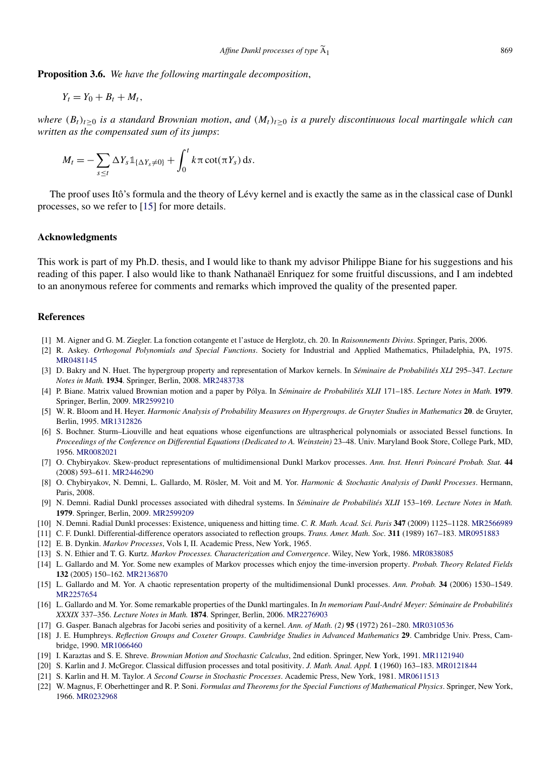<span id="page-15-0"></span>**Proposition 3.6.** *We have the following martingale decomposition*,

$$
Y_t=Y_0+B_t+M_t,
$$

*where*  $(B_t)_{t\geq0}$  *is a standard Brownian motion, and*  $(M_t)_{t\geq0}$  *is a purely discontinuous local martingale which can written as the compensated sum of its jumps*:

$$
M_t = -\sum_{s \leq t} \Delta Y_s \mathbb{1}_{\{\Delta Y_s \neq 0\}} + \int_0^t k \pi \cot(\pi Y_s) \, \mathrm{d} s.
$$

The proof uses Itô's formula and the theory of Lévy kernel and is exactly the same as in the classical case of Dunkl processes, so we refer to [15] for more details.

#### **Acknowledgments**

This work is part of my Ph.D. thesis, and I would like to thank my advisor Philippe Biane for his suggestions and his reading of this paper. I also would like to thank Nathanaël Enriquez for some fruitful discussions, and I am indebted to an anonymous referee for comments and remarks which improved the quality of the presented paper.

#### **References**

- [1] M. Aigner and G. M. Ziegler. La fonction cotangente et l'astuce de Herglotz, ch. 20. In *Raisonnements Divins*. Springer, Paris, 2006.
- [2] R. Askey. *Orthogonal Polynomials and Special Functions*. Society for Industrial and Applied Mathematics, Philadelphia, PA, 1975. [MR0481145](http://www.ams.org/mathscinet-getitem?mr=0481145)
- [3] D. Bakry and N. Huet. The hypergroup property and representation of Markov kernels. In *Séminaire de Probabilités XLI* 295–347. *Lecture Notes in Math.* **1934**. Springer, Berlin, 2008. [MR2483738](http://www.ams.org/mathscinet-getitem?mr=2483738)
- [4] P. Biane. Matrix valued Brownian motion and a paper by Pólya. In *Séminaire de Probabilités XLII* 171–185. *Lecture Notes in Math.* **1979**. Springer, Berlin, 2009. [MR2599210](http://www.ams.org/mathscinet-getitem?mr=2599210)
- [5] W. R. Bloom and H. Heyer. *Harmonic Analysis of Probability Measures on Hypergroups*. *de Gruyter Studies in Mathematics* **20**. de Gruyter, Berlin, 1995. [MR1312826](http://www.ams.org/mathscinet-getitem?mr=1312826)
- [6] S. Bochner. Sturm–Liouville and heat equations whose eigenfunctions are ultraspherical polynomials or associated Bessel functions. In *Proceedings of the Conference on Differential Equations (Dedicated to A. Weinstein)* 23–48. Univ. Maryland Book Store, College Park, MD, 1956. [MR0082021](http://www.ams.org/mathscinet-getitem?mr=0082021)
- [7] O. Chybiryakov. Skew-product representations of multidimensional Dunkl Markov processes. *Ann. Inst. Henri Poincaré Probab. Stat.* **44** (2008) 593–611. [MR2446290](http://www.ams.org/mathscinet-getitem?mr=2446290)
- [8] O. Chybiryakov, N. Demni, L. Gallardo, M. Rösler, M. Voit and M. Yor. *Harmonic & Stochastic Analysis of Dunkl Processes*. Hermann, Paris, 2008.
- [9] N. Demni. Radial Dunkl processes associated with dihedral systems. In *Séminaire de Probabilités XLII* 153–169. *Lecture Notes in Math.* **1979**. Springer, Berlin, 2009. [MR2599209](http://www.ams.org/mathscinet-getitem?mr=2599209)
- [10] N. Demni. Radial Dunkl processes: Existence, uniqueness and hitting time. *C. R. Math. Acad. Sci. Paris* **347** (2009) 1125–1128. [MR2566989](http://www.ams.org/mathscinet-getitem?mr=2566989)
- [11] C. F. Dunkl. Differential-difference operators associated to reflection groups. *Trans. Amer. Math. Soc.* **311** (1989) 167–183. [MR0951883](http://www.ams.org/mathscinet-getitem?mr=0951883)
- [12] E. B. Dynkin. *Markov Processes*, Vols I, II. Academic Press, New York, 1965.
- [13] S. N. Ethier and T. G. Kurtz. *Markov Processes. Characterization and Convergence*. Wiley, New York, 1986. [MR0838085](http://www.ams.org/mathscinet-getitem?mr=0838085)
- [14] L. Gallardo and M. Yor. Some new examples of Markov processes which enjoy the time-inversion property. *Probab. Theory Related Fields* **132** (2005) 150–162. [MR2136870](http://www.ams.org/mathscinet-getitem?mr=2136870)
- [15] L. Gallardo and M. Yor. A chaotic representation property of the multidimensional Dunkl processes. *Ann. Probab.* **34** (2006) 1530–1549. [MR2257654](http://www.ams.org/mathscinet-getitem?mr=2257654)
- [16] L. Gallardo and M. Yor. Some remarkable properties of the Dunkl martingales. In *In memoriam Paul-André Meyer: Séminaire de Probabilités XXXIX* 337–356. *Lecture Notes in Math.* **1874**. Springer, Berlin, 2006. [MR2276903](http://www.ams.org/mathscinet-getitem?mr=2276903)
- [17] G. Gasper. Banach algebras for Jacobi series and positivity of a kernel. *Ann. of Math. (2)* **95** (1972) 261–280. [MR0310536](http://www.ams.org/mathscinet-getitem?mr=0310536)
- [18] J. E. Humphreys. *Reflection Groups and Coxeter Groups*. *Cambridge Studies in Advanced Mathematics* **29**. Cambridge Univ. Press, Cambridge, 1990. [MR1066460](http://www.ams.org/mathscinet-getitem?mr=1066460)
- [19] I. Karaztas and S. E. Shreve. *Brownian Motion and Stochastic Calculus*, 2nd edition. Springer, New York, 1991. [MR1121940](http://www.ams.org/mathscinet-getitem?mr=1121940)
- [20] S. Karlin and J. McGregor. Classical diffusion processes and total positivity. *J. Math. Anal. Appl.* **1** (1960) 163–183. [MR0121844](http://www.ams.org/mathscinet-getitem?mr=0121844)
- [21] S. Karlin and H. M. Taylor. *A Second Course in Stochastic Processes*. Academic Press, New York, 1981. [MR0611513](http://www.ams.org/mathscinet-getitem?mr=0611513)
- [22] W. Magnus, F. Oberhettinger and R. P. Soni. *Formulas and Theorems for the Special Functions of Mathematical Physics*. Springer, New York, 1966. [MR0232968](http://www.ams.org/mathscinet-getitem?mr=0232968)